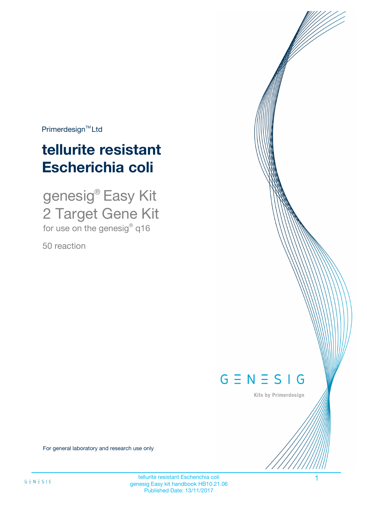$Primerdesign^{\text{TM}}Ltd$ 

# **tellurite resistant Escherichia coli**

genesig® Easy Kit 2 Target Gene Kit for use on the genesig® q16

50 reaction



Kits by Primerdesign

For general laboratory and research use only

tellurite resistant Escherichia coli 11 anno 12 anno 12 anno 12 anno 12 anno 12 anno 12 anno 12 anno 12 anno 1 genesig Easy kit handbook HB10.21.06 Published Date: 13/11/2017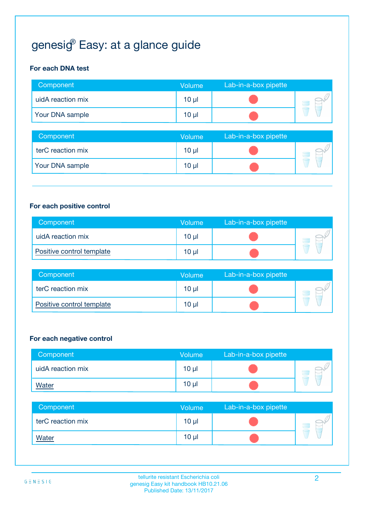# genesi $\mathcal{G}^{\!\scriptscriptstyle\mathrm{P}}$  Easy: at a glance guide

### **For each DNA test**

| Component         | <b>Volume</b>   | Lab-in-a-box pipette |  |
|-------------------|-----------------|----------------------|--|
| uidA reaction mix | 10 <sub>µ</sub> |                      |  |
| Your DNA sample   | $10 \mu$        |                      |  |

| Component         | <b>Volume</b>   | Lab-in-a-box pipette |  |
|-------------------|-----------------|----------------------|--|
| terC reaction mix | 10 <sub>µ</sub> |                      |  |
| Your DNA sample   | 10 <sub>µ</sub> |                      |  |

#### **For each positive control**

| Component                 | <b>Volume</b> | Lab-in-a-box pipette |  |
|---------------------------|---------------|----------------------|--|
| uidA reaction mix         | 10 µl         |                      |  |
| Positive control template | $10 \mu$      |                      |  |

| Component                 | <b>Volume</b> | Lab-in-a-box pipette |  |
|---------------------------|---------------|----------------------|--|
| terC reaction mix         | 10 µl         |                      |  |
| Positive control template | 10 µl         |                      |  |

#### **For each negative control**

| Component         | <b>Volume</b>   | Lab-in-a-box pipette |  |
|-------------------|-----------------|----------------------|--|
| uidA reaction mix | $10 \mu$        |                      |  |
| <b>Water</b>      | 10 <sub>µ</sub> |                      |  |

| Component         | <b>Volume</b>   | Lab-in-a-box pipette |  |
|-------------------|-----------------|----------------------|--|
| terC reaction mix | 10 <sub>µ</sub> |                      |  |
| <b>Water</b>      | 10 <sub>µ</sub> |                      |  |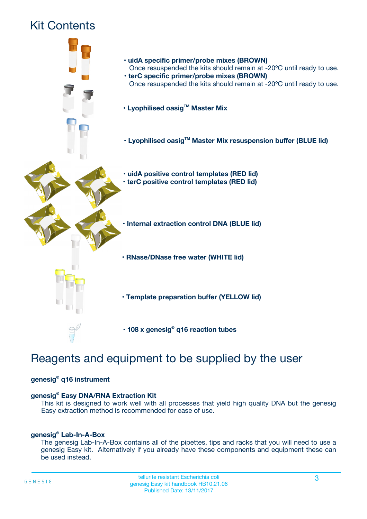# Kit Contents



# Reagents and equipment to be supplied by the user

### **genesig® q16 instrument**

### **genesig® Easy DNA/RNA Extraction Kit**

This kit is designed to work well with all processes that yield high quality DNA but the genesig Easy extraction method is recommended for ease of use.

#### **genesig® Lab-In-A-Box**

The genesig Lab-In-A-Box contains all of the pipettes, tips and racks that you will need to use a genesig Easy kit. Alternatively if you already have these components and equipment these can be used instead.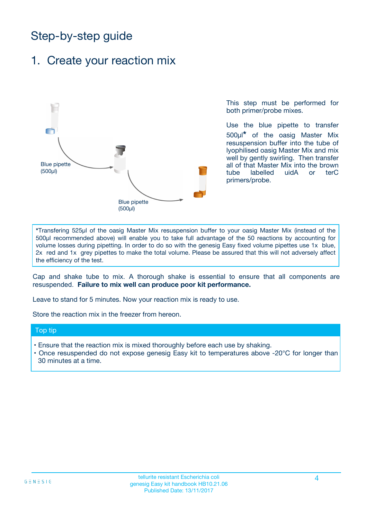# Step-by-step guide

## 1. Create your reaction mix



This step must be performed for both primer/probe mixes.

Use the blue pipette to transfer 500µl**\*** of the oasig Master Mix resuspension buffer into the tube of lyophilised oasig Master Mix and mix well by gently swirling. Then transfer all of that Master Mix into the brown tube labelled uidA or terC primers/probe.

**\***Transfering 525µl of the oasig Master Mix resuspension buffer to your oasig Master Mix (instead of the 500µl recommended above) will enable you to take full advantage of the 50 reactions by accounting for volume losses during pipetting. In order to do so with the genesig Easy fixed volume pipettes use 1x blue, 2x red and 1x grey pipettes to make the total volume. Please be assured that this will not adversely affect the efficiency of the test.

Cap and shake tube to mix. A thorough shake is essential to ensure that all components are resuspended. **Failure to mix well can produce poor kit performance.**

Leave to stand for 5 minutes. Now your reaction mix is ready to use.

Store the reaction mix in the freezer from hereon.

#### Top tip

- Ensure that the reaction mix is mixed thoroughly before each use by shaking.
- **•** Once resuspended do not expose genesig Easy kit to temperatures above -20°C for longer than 30 minutes at a time.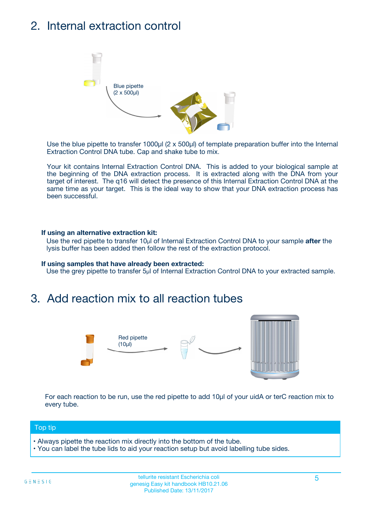## 2. Internal extraction control



Use the blue pipette to transfer 1000µl (2 x 500µl) of template preparation buffer into the Internal Extraction Control DNA tube. Cap and shake tube to mix.

Your kit contains Internal Extraction Control DNA. This is added to your biological sample at the beginning of the DNA extraction process. It is extracted along with the DNA from your target of interest. The q16 will detect the presence of this Internal Extraction Control DNA at the same time as your target. This is the ideal way to show that your DNA extraction process has been successful.

#### **If using an alternative extraction kit:**

Use the red pipette to transfer 10µl of Internal Extraction Control DNA to your sample **after** the lysis buffer has been added then follow the rest of the extraction protocol.

#### **If using samples that have already been extracted:**

Use the grey pipette to transfer 5µl of Internal Extraction Control DNA to your extracted sample.

## 3. Add reaction mix to all reaction tubes



For each reaction to be run, use the red pipette to add 10µl of your uidA or terC reaction mix to every tube.

#### Top tip

- Always pipette the reaction mix directly into the bottom of the tube.
- You can label the tube lids to aid your reaction setup but avoid labelling tube sides.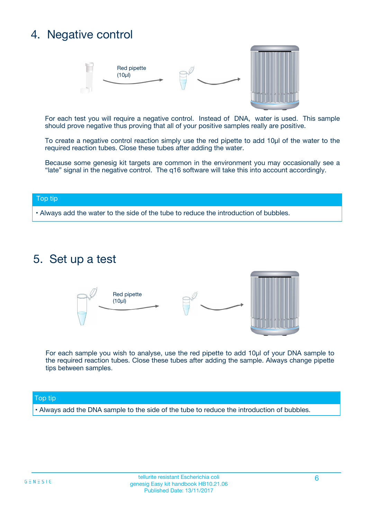# 4. Negative control



For each test you will require a negative control. Instead of DNA, water is used. This sample should prove negative thus proving that all of your positive samples really are positive.

To create a negative control reaction simply use the red pipette to add 10µl of the water to the required reaction tubes. Close these tubes after adding the water.

Because some genesig kit targets are common in the environment you may occasionally see a "late" signal in the negative control. The q16 software will take this into account accordingly.

#### Top tip

**•** Always add the water to the side of the tube to reduce the introduction of bubbles.

### 5. Set up a test



For each sample you wish to analyse, use the red pipette to add 10µl of your DNA sample to the required reaction tubes. Close these tubes after adding the sample. Always change pipette tips between samples.

#### Top tip

**•** Always add the DNA sample to the side of the tube to reduce the introduction of bubbles.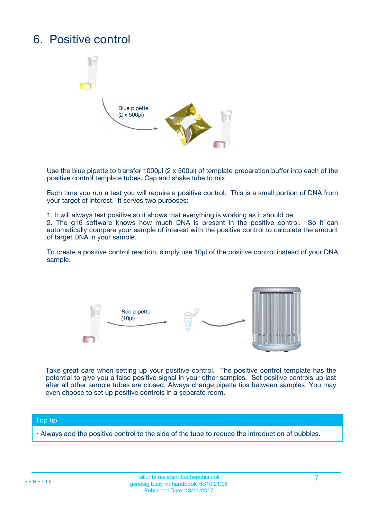## 6. Positive control



Use the blue pipette to transfer 1000µl (2 x 500µl) of template preparation buffer into each of the positive control template tubes. Cap and shake tube to mix.

Each time you run a test you will require a positive control. This is a small portion of DNA from your target of interest. It serves two purposes:

1. It will always test positive so it shows that everything is working as it should be.

2. The q16 software knows how much DNA is present in the positive control. So it can automatically compare your sample of interest with the positive control to calculate the amount of target DNA in your sample.

To create a positive control reaction, simply use 10µl of the positive control instead of your DNA sample.



Take great care when setting up your positive control. The positive control template has the potential to give you a false positive signal in your other samples. Set positive controls up last after all other sample tubes are closed. Always change pipette tips between samples. You may even choose to set up positive controls in a separate room.

#### Top tip

**•** Always add the positive control to the side of the tube to reduce the introduction of bubbles.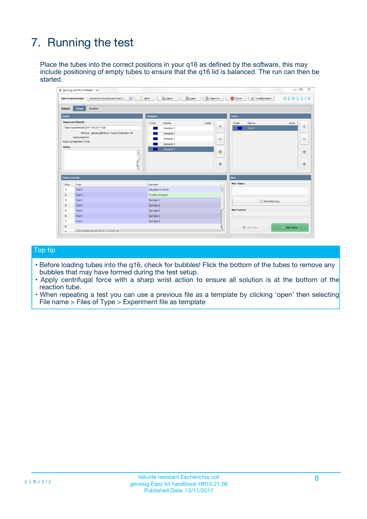# 7. Running the test

Place the tubes into the correct positions in your q16 as defined by the software, this may include positioning of empty tubes to ensure that the q16 lid is balanced. The run can then be started.

| <b>Open Experiments:</b>                                                                        | $\frac{1}{2}$ New<br>Unsaved (New Experiment 2 | Save<br><b>B</b> Open   |                              |                    | $G \equiv N \equiv S \mid G$ |
|-------------------------------------------------------------------------------------------------|------------------------------------------------|-------------------------|------------------------------|--------------------|------------------------------|
| Stages:                                                                                         | <b>Results</b><br><b>Setup</b>                 |                         |                              |                    |                              |
| <b>Notes</b>                                                                                    |                                                | <b>Samples</b>          |                              | <b>Tests</b>       |                              |
|                                                                                                 | <b>Name and Details</b>                        | Color<br>Name           | Note                         | Color<br>Name      | Note                         |
|                                                                                                 | New Experiment 2017-10-26 11:06                | Sample 1                | $\oplus$                     | Test <sub>1</sub>  | $\ddot{\Phi}$                |
|                                                                                                 | Kit type: genesig® Easy Target Detection kit   | Sample 2                |                              |                    |                              |
|                                                                                                 | Instrument Id.:                                | Sample 3                | $\qquad \qquad \blacksquare$ |                    | $\qquad \qquad \blacksquare$ |
|                                                                                                 | <b>Run Completion Time:</b>                    | Sample 4                |                              |                    |                              |
| <b>Notes</b>                                                                                    | $\blacktriangle$                               | Sample 5                | ♦                            |                    |                              |
|                                                                                                 |                                                |                         |                              |                    | 41                           |
|                                                                                                 |                                                |                         |                              |                    |                              |
|                                                                                                 |                                                |                         |                              |                    |                              |
|                                                                                                 |                                                |                         | $\overline{\phantom{a}}$     |                    |                              |
|                                                                                                 | $\overline{\mathbf{v}}$                        |                         |                              |                    |                              |
|                                                                                                 |                                                |                         |                              | Run                |                              |
|                                                                                                 | Test                                           | Sample                  |                              | <b>Run Status</b>  |                              |
|                                                                                                 | Test 1                                         | Negative Control        | $\blacktriangle$             |                    |                              |
|                                                                                                 | Test 1                                         | <b>Positive Control</b> |                              |                    |                              |
|                                                                                                 | Test 1                                         | Sample 1                |                              |                    |                              |
|                                                                                                 | Test 1                                         | Sample 2                |                              | Show full log      |                              |
| 4                                                                                               | Test 1                                         | Sample 3                |                              | <b>Run Control</b> |                              |
|                                                                                                 | Test <sub>1</sub>                              | Sample 4                |                              |                    |                              |
| <b>Well Contents</b><br>Pos.<br>$\mathbf{1}$<br>$\overline{2}$<br>3<br>5<br>6<br>$\overline{7}$ | Test <sub>1</sub>                              | Sample 5                |                              |                    | ₩                            |

#### Top tip

- Before loading tubes into the q16, check for bubbles! Flick the bottom of the tubes to remove any bubbles that may have formed during the test setup.
- Apply centrifugal force with a sharp wrist action to ensure all solution is at the bottom of the reaction tube.
- When repeating a test you can use a previous file as a template by clicking 'open' then selecting File name > Files of Type > Experiment file as template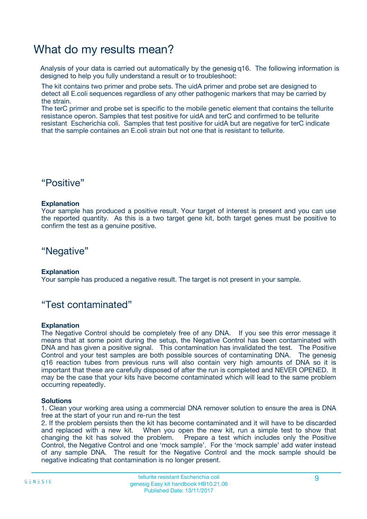## What do my results mean?

Analysis of your data is carried out automatically by the genesig q16. The following information is designed to help you fully understand a result or to troubleshoot:

The kit contains two primer and probe sets. The uidA primer and probe set are designed to detect all E.coli sequences regardless of any other pathogenic markers that may be carried by the strain.

The terC primer and probe set is specific to the mobile genetic element that contains the tellurite resistance operon. Samples that test positive for uidA and terC and confirmed to be tellurite resistant Escherichia coli. Samples that test positive for uidA but are negative for terC indicate that the sample containes an E.coli strain but not one that is resistant to tellurite.

### "Positive"

#### **Explanation**

Your sample has produced a positive result. Your target of interest is present and you can use the reported quantity. As this is a two target gene kit, both target genes must be positive to confirm the test as a genuine positive.

"Negative"

#### **Explanation**

Your sample has produced a negative result. The target is not present in your sample.

### "Test contaminated"

#### **Explanation**

The Negative Control should be completely free of any DNA. If you see this error message it means that at some point during the setup, the Negative Control has been contaminated with DNA and has given a positive signal. This contamination has invalidated the test. The Positive Control and your test samples are both possible sources of contaminating DNA. The genesig q16 reaction tubes from previous runs will also contain very high amounts of DNA so it is important that these are carefully disposed of after the run is completed and NEVER OPENED. It may be the case that your kits have become contaminated which will lead to the same problem occurring repeatedly.

#### **Solutions**

1. Clean your working area using a commercial DNA remover solution to ensure the area is DNA free at the start of your run and re-run the test

2. If the problem persists then the kit has become contaminated and it will have to be discarded and replaced with a new kit. When you open the new kit, run a simple test to show that changing the kit has solved the problem. Prepare a test which includes only the Positive Control, the Negative Control and one 'mock sample'. For the 'mock sample' add water instead of any sample DNA. The result for the Negative Control and the mock sample should be negative indicating that contamination is no longer present.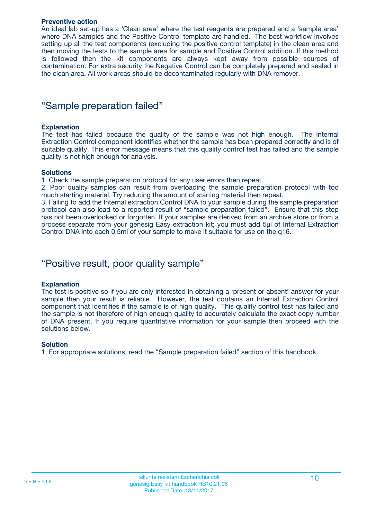#### **Preventive action**

An ideal lab set-up has a 'Clean area' where the test reagents are prepared and a 'sample area' where DNA samples and the Positive Control template are handled. The best workflow involves setting up all the test components (excluding the positive control template) in the clean area and then moving the tests to the sample area for sample and Positive Control addition. If this method is followed then the kit components are always kept away from possible sources of contamination. For extra security the Negative Control can be completely prepared and sealed in the clean area. All work areas should be decontaminated regularly with DNA remover.

### "Sample preparation failed"

#### **Explanation**

The test has failed because the quality of the sample was not high enough. The Internal Extraction Control component identifies whether the sample has been prepared correctly and is of suitable quality. This error message means that this quality control test has failed and the sample quality is not high enough for analysis.

#### **Solutions**

1. Check the sample preparation protocol for any user errors then repeat.

2. Poor quality samples can result from overloading the sample preparation protocol with too much starting material. Try reducing the amount of starting material then repeat.

3. Failing to add the Internal extraction Control DNA to your sample during the sample preparation protocol can also lead to a reported result of "sample preparation failed". Ensure that this step has not been overlooked or forgotten. If your samples are derived from an archive store or from a process separate from your genesig Easy extraction kit; you must add 5µl of Internal Extraction Control DNA into each 0.5ml of your sample to make it suitable for use on the q16.

### "Positive result, poor quality sample"

#### **Explanation**

The test is positive so if you are only interested in obtaining a 'present or absent' answer for your sample then your result is reliable. However, the test contains an Internal Extraction Control component that identifies if the sample is of high quality. This quality control test has failed and the sample is not therefore of high enough quality to accurately calculate the exact copy number of DNA present. If you require quantitative information for your sample then proceed with the solutions below.

#### **Solution**

1. For appropriate solutions, read the "Sample preparation failed" section of this handbook.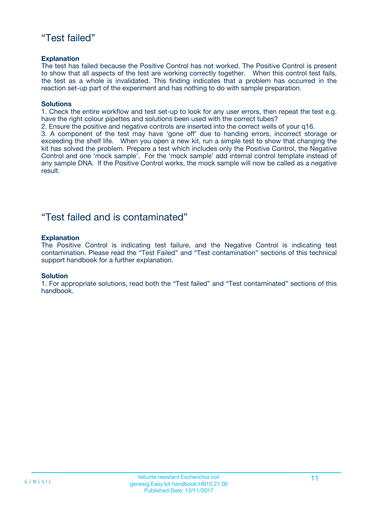### "Test failed"

#### **Explanation**

The test has failed because the Positive Control has not worked. The Positive Control is present to show that all aspects of the test are working correctly together. When this control test fails, the test as a whole is invalidated. This finding indicates that a problem has occurred in the reaction set-up part of the experiment and has nothing to do with sample preparation.

#### **Solutions**

1. Check the entire workflow and test set-up to look for any user errors, then repeat the test e.g. have the right colour pipettes and solutions been used with the correct tubes?

2. Ensure the positive and negative controls are inserted into the correct wells of your q16.

3. A component of the test may have 'gone off' due to handing errors, incorrect storage or exceeding the shelf life. When you open a new kit, run a simple test to show that changing the kit has solved the problem. Prepare a test which includes only the Positive Control, the Negative Control and one 'mock sample'. For the 'mock sample' add internal control template instead of any sample DNA. If the Positive Control works, the mock sample will now be called as a negative result.

### "Test failed and is contaminated"

#### **Explanation**

The Positive Control is indicating test failure, and the Negative Control is indicating test contamination. Please read the "Test Failed" and "Test contamination" sections of this technical support handbook for a further explanation.

#### **Solution**

1. For appropriate solutions, read both the "Test failed" and "Test contaminated" sections of this handbook.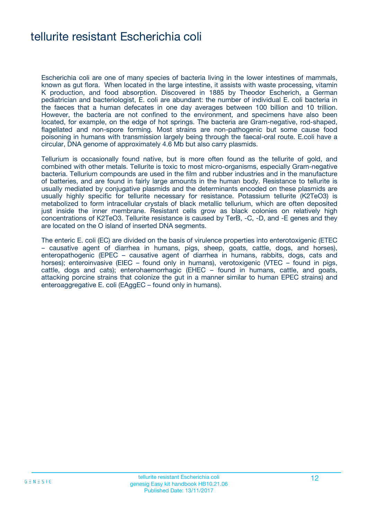## tellurite resistant Escherichia coli

Escherichia coli are one of many species of bacteria living in the lower intestines of mammals, known as gut flora. When located in the large intestine, it assists with waste processing, vitamin K production, and food absorption. Discovered in 1885 by Theodor Escherich, a German pediatrician and bacteriologist, E. coli are abundant: the number of individual E. coli bacteria in the faeces that a human defecates in one day averages between 100 billion and 10 trillion. However, the bacteria are not confined to the environment, and specimens have also been located, for example, on the edge of hot springs. The bacteria are Gram-negative, rod-shaped, flagellated and non-spore forming. Most strains are non-pathogenic but some cause food poisoning in humans with transmission largely being through the faecal-oral route. E.coli have a circular, DNA genome of approximately 4.6 Mb but also carry plasmids.

Tellurium is occasionally found native, but is more often found as the tellurite of gold, and combined with other metals. Tellurite is toxic to most micro-organisms, especially Gram-negative bacteria. Tellurium compounds are used in the film and rubber industries and in the manufacture of batteries, and are found in fairly large amounts in the human body. Resistance to tellurite is usually mediated by conjugative plasmids and the determinants encoded on these plasmids are usually highly specific for tellurite necessary for resistance. Potassium tellurite (K2TeO3) is metabolized to form intracellular crystals of black metallic tellurium, which are often deposited just inside the inner membrane. Resistant cells grow as black colonies on relatively high concentrations of K2TeO3. Tellurite resistance is caused by TerB, -C, -D, and -E genes and they are located on the O island of inserted DNA segments.

The enteric E. coli (EC) are divided on the basis of virulence properties into enterotoxigenic (ETEC – causative agent of diarrhea in humans, pigs, sheep, goats, cattle, dogs, and horses), enteropathogenic (EPEC – causative agent of diarrhea in humans, rabbits, dogs, cats and horses); enteroinvasive (EIEC – found only in humans), verotoxigenic (VTEC – found in pigs, cattle, dogs and cats); enterohaemorrhagic (EHEC – found in humans, cattle, and goats, attacking porcine strains that colonize the gut in a manner similar to human EPEC strains) and enteroaggregative E. coli (EAggEC – found only in humans).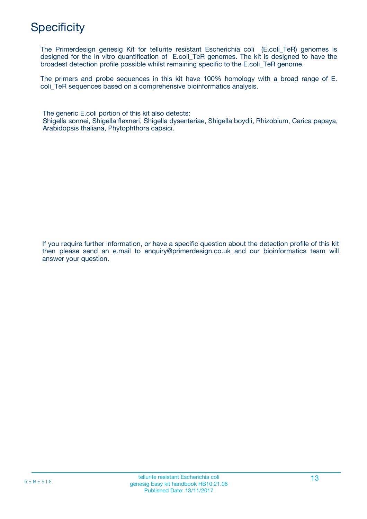## **Specificity**

The Primerdesign genesig Kit for tellurite resistant Escherichia coli (E.coli\_TeR) genomes is designed for the in vitro quantification of E.coli\_TeR genomes. The kit is designed to have the broadest detection profile possible whilst remaining specific to the E.coli\_TeR genome.

The primers and probe sequences in this kit have 100% homology with a broad range of E. coli TeR sequences based on a comprehensive bioinformatics analysis.

The generic E.coli portion of this kit also detects: Shigella sonnei, Shigella flexneri, Shigella dysenteriae, Shigella boydii, Rhizobium, Carica papaya, Arabidopsis thaliana, Phytophthora capsici.

If you require further information, or have a specific question about the detection profile of this kit then please send an e.mail to enquiry@primerdesign.co.uk and our bioinformatics team will answer your question.